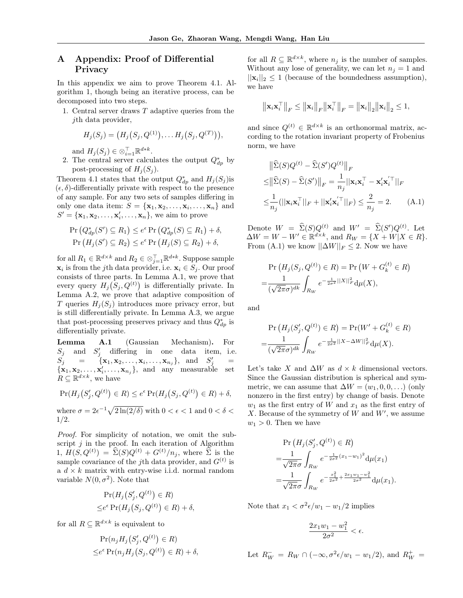# A Appendix: Proof of Differential Privacy

In this appendix we aim to prove Theorem 4.1. Algorithm 1, though being an iterative process, can be decomposed into two steps.

1. Central server draws *T* adaptive queries from the *j*th data provider,

$$
H_j(S_j) = (H_j(S_j, Q^{(1)}), \dots H_j(S_j, Q^{(T)})),
$$
  

$$
H_j(S) \subset \mathbb{R}^T \quad \mathbb{R}^{d*k}
$$

and  $H_j(S_j) \in \otimes_{i=1}^{\top} \mathbb{R}^{d*k}$ . 2. The central server calculates the output  $Q_{dp}^*$  by

post-processing of  $H_j(S_j)$ . Theorem 4.1 states that the output  $Q_{dp}^*$  and  $H_j(S_j)$  is  $(\epsilon, \delta)$ -differentially private with respect to the presence of any sample. For any two sets of samples differing in only one data item:  $S = {\mathbf{x}_1, \mathbf{x}_2, \dots, \mathbf{x}_i, \dots, \mathbf{x}_n}$  and  $S' = {\mathbf{x}_1, \mathbf{x}_2, \ldots, \mathbf{x}'_i, \ldots, \mathbf{x}_n}$ , we aim to prove

$$
\Pr\left(Q_{dp}^*(S') \subseteq R_1\right) \le e^{\epsilon} \Pr\left(Q_{dp}^*(S) \subseteq R_1\right) + \delta,
$$
  

$$
\Pr\left(H_j(S') \subseteq R_2\right) \le e^{\epsilon} \Pr\left(H_j(S) \subseteq R_2\right) + \delta,
$$

for all  $R_1 \in \mathbb{R}^{d \times k}$  and  $R_2 \in \otimes_{j=1}^{\top} \mathbb{R}^{d*k}$ . Suppose sample  $\mathbf{x}_i$  is from the *j*th data provider, i.e.  $\mathbf{x}_i \in S_j$ . Our proof consists of three parts. In Lemma A.1, we prove that every query  $H_j(S_j, Q^{(t)})$  is differentially private. In Lemma A.2, we prove that adaptive composition of *T* queries  $H_i(S_i)$  introduces more privacy error, but is still differentially private. In Lemma A.3, we argue that post-processing preserves privacy and thus  $Q_{dp}^*$  is differentially private.

Lemma A.1 (Gaussian Mechanism). For  $S_j$  and  $S'_j$  differing in one data item, i.e.  $S_j$  = {**x**<sub>1</sub>, **x**<sub>2</sub>,...,**x**<sub>*i*</sub>,...,**x**<sub>*n<sub>j</sub></sub>}, and <i>S*<sup>*i*</sup><sub>*i*</sub></sub>  $\equiv$  $\{\mathbf{x}_1, \mathbf{x}_2, \dots, \mathbf{x}'_i, \dots, \mathbf{x}_{n_j}\}$ , and any measurable set  $R \subseteq \mathbb{R}^{d \times k}$ , we have

$$
\Pr(H_j(S'_j, Q^{(t)}) \in R) \le e^{\epsilon} \Pr(H_j(S_j, Q^{(t)}) \in R) + \delta,
$$

where  $\sigma = 2\epsilon^{-1}\sqrt{2\ln(2/\delta)}$  with  $0 < \epsilon < 1$  and  $0 < \delta <$ 1*/*2.

*Proof.* For simplicity of notation, we omit the subscript *j* in the proof. In each iteration of Algorithm 1,  $H(S, Q^{(t)}) = \sum (S)Q^{(t)} + G^{(t)}/n_j$ , where  $\sum \limits_{s=1}^{\infty}$  is the sample covariance of the *j*th data provider, and  $G^{(t)}$  is a  $d \times k$  matrix with entry-wise i.i.d. normal random variable  $N(0, \sigma^2)$ . Note that

$$
\Pr(H_j(S'_j, Q^{(t)}) \in R)
$$
  

$$
\leq e^{\epsilon} \Pr(H_j(S_j, Q^{(t)}) \in R) + \delta,
$$

for all  $R \subseteq \mathbb{R}^{d \times k}$  is equivalent to

$$
\Pr(n_j H_j(S'_j, Q^{(t)}) \in R)
$$
  

$$
\leq e^{\epsilon} \Pr(n_j H_j(S_j, Q^{(t)}) \in R) + \delta,
$$

for all  $R \subseteq \mathbb{R}^{d \times k}$ , where  $n_j$  is the number of samples. Without any lose of generality, we can let  $n_j = 1$  and  $||\mathbf{x}_i||_2 \leq 1$  (because of the boundedness assumption), we have

$$
\|\mathbf{x}_{i}\mathbf{x}_{i}^{\top}\|_{F} \leq \|\mathbf{x}_{i}\|_{F}\|\mathbf{x}_{i}^{\top}\|_{F} = \|\mathbf{x}_{i}\|_{2}\|\mathbf{x}_{i}\|_{2} \leq 1,
$$

and since  $Q^{(t)} \in \mathbb{R}^{d \times k}$  is an orthonormal matrix, according to the rotation invariant property of Frobenius norm, we have

$$
\|\widehat{\Sigma}(S)Q^{(t)} - \widehat{\Sigma}(S')Q^{(t)}\|_F
$$
  
\n
$$
\leq \|\widehat{\Sigma}(S) - \widehat{\Sigma}(S')\|_F = \frac{1}{n_j} ||\mathbf{x}_i \mathbf{x}_i^\top - \mathbf{x}_i' \mathbf{x}_i'^\top||_F
$$
  
\n
$$
\leq \frac{1}{n_j} (||\mathbf{x}_i \mathbf{x}_i^\top||_F + ||\mathbf{x}_i' \mathbf{x}_i'^\top||_F) \leq \frac{2}{n_j} = 2.
$$
 (A.1)

Denote  $W = \sum_{k=0}^{\infty} (S) Q^{(t)}$  and  $W' = \sum_{k=0}^{\infty} (S') Q^{(t)}$ . Let  $\Delta W = W - W' \in \mathbb{R}^{d \times k}$ , and  $R_W = \{X + W | X \in R\}.$ From (A.1) we know  $||\Delta W||_F \leq 2$ . Now we have

$$
\Pr\left(H_j(S_j, Q^{(t)}) \in R\right) = \Pr\left(W + G_k^{(t)} \in R\right)
$$

$$
= \frac{1}{(\sqrt{2\pi}\sigma)^{dk}} \int_{R_W} e^{-\frac{1}{2\sigma^2}||X||_F^2} d\mu(X),
$$

and

$$
\Pr\left(H_j(S'_j, Q^{(t)}) \in R\right) = \Pr(W' + G_k^{(t)} \in R)
$$

$$
= \frac{1}{(\sqrt{2\pi}\sigma)^{dk}} \int_{R_W} e^{-\frac{1}{2\sigma^2}||X - \Delta W||_F^2} d\mu(X).
$$

Let's take *X* and  $\Delta W$  as  $d \times k$  dimensional vectors. Since the Gaussian distribution is spherical and symmetric, we can assume that  $\Delta W = (w_1, 0, 0, \ldots)$  (only nonzero in the first entry) by change of basis. Denote  $w_1$  as the first entry of *W* and  $x_1$  as the first entry of X. Because of the symmetry of *W* and *W'*, we assume  $w_1 > 0$ . Then we have

$$
\Pr(H_j(S'_j, Q^{(t)}) \in R)
$$
  
=  $\frac{1}{\sqrt{2\pi}\sigma} \int_{R_W} e^{-\frac{1}{2\sigma^2}(x_1 - w_1)^2} d\mu(x_1)$   
=  $\frac{1}{\sqrt{2\pi}\sigma} \int_{R_W} e^{-\frac{x_1^2}{2\sigma^2} + \frac{2x_1w_1 - w_1^2}{2\sigma^2}} d\mu(x_1).$ 

Note that  $x_1 < \sigma^2 \epsilon / w_1 - w_1/2$  implies

$$
\frac{2x_1w_1-w_1^2}{2\sigma^2}<\epsilon.
$$

Let 
$$
R_W^- = R_W \cap (-\infty, \sigma^2 \epsilon / w_1 - w_1/2)
$$
, and  $R_W^+ =$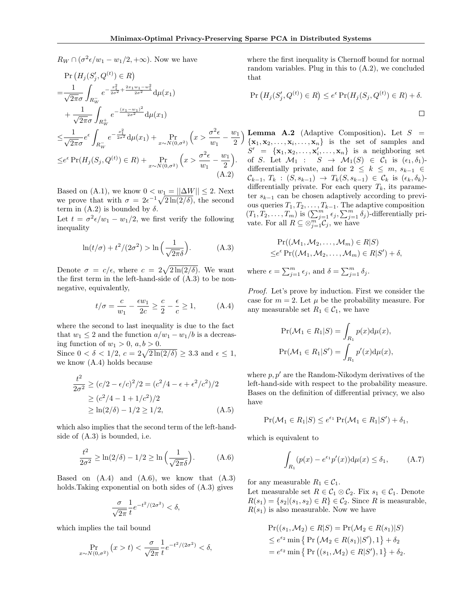$R_W \cap (\sigma^2 \epsilon/w_1 - w_1/2, +\infty)$ . Now we have

$$
\Pr(H_{j}(S_{j}', Q^{(t)}) \in R) = \frac{1}{\sqrt{2\pi}\sigma} \int_{R_{W}^{-}} e^{-\frac{x_{1}^{2}}{2\sigma^{2}} + \frac{2x_{1}w_{1} - w_{1}^{2}}{2\sigma^{2}}} d\mu(x_{1}) + \frac{1}{\sqrt{2\pi}\sigma} \int_{R_{W}^{+}} e^{-\frac{(x_{1} - w_{1})^{2}}{2\sigma^{2}}} d\mu(x_{1}) + \frac{\sigma}{\sqrt{2\pi}\sigma} e^{\epsilon} \int_{R_{W}^{-}} e^{-\frac{x_{1}^{2}}{2\sigma^{2}}} d\mu(x_{1}) + \Pr_{x \sim N(0, \sigma^{2})} \left(x > \frac{\sigma^{2}\epsilon}{w_{1}} - \frac{w_{1}}{2}\right) \n\leq e^{\epsilon} \Pr(H_{j}(S_{j}, Q^{(t)}) \in R) + \Pr_{x \sim N(0, \sigma^{2})} \left(x > \frac{\sigma^{2}\epsilon}{w_{1}} - \frac{w_{1}}{2}\right).
$$
\n(A.2)

Based on (A.1), we know  $0 < w_1 = ||\Delta W|| \leq 2$ . Next we prove that with  $\sigma = 2\epsilon^{-1}\sqrt{2\ln(2/\delta)}$ , the second term in  $(A.2)$  is bounded by  $\delta$ .

Let  $t = \sigma^2 \epsilon / w_1 - w_1/2$ , we first verify the following inequality

$$
\ln(t/\sigma) + t^2/(2\sigma^2) > \ln\left(\frac{1}{\sqrt{2\pi}\delta}\right). \tag{A.3}
$$

Denote  $\sigma = c/\epsilon$ , where  $c = 2\sqrt{2 \ln(2/\delta)}$ . We want the first term in the left-hand-side of (A.3) to be nonnegative, equivalently,

$$
t/\sigma = \frac{c}{w_1} - \frac{\epsilon w_1}{2c} \ge \frac{c}{2} - \frac{\epsilon}{c} \ge 1, \quad (A.4)
$$

where the second to last inequality is due to the fact that  $w_1 \leq 2$  and the function  $a/w_1 - w_1/b$  is a decreasing function of  $w_1 > 0$ ,  $a, b > 0$ .

Since  $0 < \delta < 1/2$ ,  $c = 2\sqrt{2\ln(2/\delta)} \geq 3.3$  and  $\epsilon \leq 1$ , we know (A.4) holds because

$$
\frac{t^2}{2\sigma^2} \ge (c/2 - \epsilon/c)^2/2 = (c^2/4 - \epsilon + \epsilon^2/c^2)/2
$$
  
\n
$$
\ge (c^2/4 - 1 + 1/c^2)/2
$$
  
\n
$$
\ge \ln(2/\delta) - 1/2 \ge 1/2,
$$
 (A.5)

which also implies that the second term of the left-handside of (A.3) is bounded, i.e.

$$
\frac{t^2}{2\sigma^2} \ge \ln(2/\delta) - 1/2 \ge \ln\left(\frac{1}{\sqrt{2\pi}\delta}\right). \tag{A.6}
$$

Based on  $(A.4)$  and  $(A.6)$ , we know that  $(A.3)$ holds.Taking exponential on both sides of (A.3) gives

$$
\frac{\sigma}{\sqrt{2\pi}}\frac{1}{t}e^{-t^2/(2\sigma^2)} < \delta,
$$

which implies the tail bound

$$
\Pr_{x \sim N(0,\sigma^2)}\left(x > t\right) < \frac{\sigma}{\sqrt{2\pi}}\frac{1}{t}e^{-t^2/(2\sigma^2)} < \delta,
$$

where the first inequality is Chernoff bound for normal random variables. Plug in this to (A.2), we concluded that

$$
\Pr\left(H_j(S'_j, Q^{(t)}) \in R\right) \le e^{\epsilon} \Pr(H_j(S_j, Q^{(t)}) \in R) + \delta.
$$

 $\left(-\frac{w_1}{2}\right)$  **Lemma A.2** (Adaptive Composition). Let  $S =$  ${x_1, x_2, \ldots, x_i, \ldots, x_n}$  is the set of samples and  $S' = {\mathbf{x}_1, \mathbf{x}_2, ..., \mathbf{x}'_i, ..., \mathbf{x}_n}$  is a neighboring set of *S*. Let  $\mathcal{M}_1$  :  $S \rightarrow \mathcal{M}_1(S) \in \mathcal{C}_1$  is  $(\epsilon_1, \delta_1)$ differentially private, and for  $2 \leq k \leq m$ ,  $s_{k-1} \in$  $\mathcal{C}_{k-1}, T_k : (S, s_{k-1}) \to T_k(S, s_{k-1}) \in \mathcal{C}_k$  is  $(\epsilon_k, \delta_k)$ differentially private. For each query  $T_k$ , its parameter  $s_{k-1}$  can be chosen adaptively according to previous queries  $T_1, T_2, \ldots, T_{k-1}$ . The adaptive composition  $(T_1, T_2, \ldots, T_m)$  is  $(\sum_{j=1}^m \epsilon_j, \sum_{j=1}^m \delta_j)$ -differentially private. For all  $R \subseteq \otimes_{j=1}^{m} C_j$ , we have

$$
\Pr((\mathcal{M}_1, \mathcal{M}_2, \dots, \mathcal{M}_m) \in R|S)
$$
  

$$
\leq e^{\epsilon} \Pr((\mathcal{M}_1, \mathcal{M}_2, \dots, \mathcal{M}_m) \in R|S') + \delta,
$$

where  $\epsilon = \sum_{j=1}^{m} \epsilon_j$ , and  $\delta = \sum_{j=1}^{m} \delta_j$ .

*Proof.* Let's prove by induction. First we consider the case for  $m = 2$ . Let  $\mu$  be the probability measure. For any measurable set  $R_1 \in C_1$ , we have

$$
\Pr(\mathcal{M}_1 \in R_1 | S) = \int_{R_1} p(x) d\mu(x),
$$
  

$$
\Pr(\mathcal{M}_1 \in R_1 | S') = \int_{R_1} p'(x) d\mu(x),
$$

where  $p, p'$  are the Random-Nikodym derivatives of the left-hand-side with respect to the probability measure. Bases on the definition of differential privacy, we also have

$$
\Pr(\mathcal{M}_1 \in R_1 | S) \le e^{\epsilon_1} \Pr(\mathcal{M}_1 \in R_1 | S') + \delta_1,
$$

which is equivalent to

$$
\int_{R_1} (p(x) - e^{\epsilon_1} p'(x)) \mathrm{d}\mu(x) \le \delta_1,\tag{A.7}
$$

for any measurable  $R_1 \in C_1$ .

Let measurable set  $R \in C_1 \otimes C_2$ . Fix  $s_1 \in C_1$ . Denote  $R(s_1) = \{s_2 | (s_1, s_2) \in R\} \in C_2$ . Since *R* is measurable,  $R(s_1)$  is also measurable. Now we have

$$
Pr((s_1, M_2) \in R | S) = Pr(M_2 \in R(s_1) | S)
$$
  
\n
$$
\le e^{\epsilon_2} \min \{ Pr(M_2 \in R(s_1) | S'), 1 \} + \delta_2
$$
  
\n
$$
= e^{\epsilon_2} \min \{ Pr((s_1, M_2) \in R | S'), 1 \} + \delta_2.
$$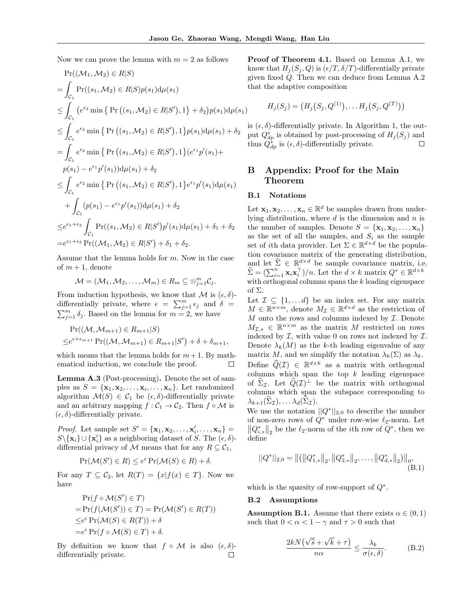Now we can prove the lemma with  $m = 2$  as follows

$$
\Pr((\mathcal{M}_1, \mathcal{M}_2) \in R|S)
$$
\n
$$
= \int_{\mathcal{C}_1} \Pr((s_1, \mathcal{M}_2) \in R|S)p(s_1)d\mu(s_1)
$$
\n
$$
\leq \int_{\mathcal{C}_1} (e^{\epsilon_2} \min \{ \Pr((s_1, \mathcal{M}_2) \in R|S'), 1 \} + \delta_2)p(s_1)d\mu(s_1)
$$
\n
$$
\leq \int_{\mathcal{C}_1} e^{\epsilon_2} \min \{ \Pr((s_1, \mathcal{M}_2) \in R|S'), 1 \}p(s_1)d\mu(s_1) + \delta_2
$$
\n
$$
= \int_{\mathcal{C}_1} e^{\epsilon_2} \min \{ \Pr((s_1, \mathcal{M}_2) \in R|S'), 1 \} (e^{\epsilon_1} p'(s_1) + p(s_1) - e^{\epsilon_1} p'(s_1))d\mu(s_1) + \delta_2
$$
\n
$$
\leq \int_{\mathcal{C}_1} e^{\epsilon_2} \min \{ \Pr((s_1, \mathcal{M}_2) \in R|S'), 1 \} e^{\epsilon_1} p'(s_1)d\mu(s_1)
$$
\n
$$
+ \int_{\mathcal{C}_1} (p(s_1) - e^{\epsilon_1} p'(s_1))d\mu(s_1) + \delta_2
$$
\n
$$
\leq e^{\epsilon_1 + \epsilon_2} \int_{\mathcal{C}_1} \Pr((s_1, \mathcal{M}_2) \in R|S')p'(s_1)d\mu(s_1) + \delta_1 + \delta_2
$$
\n
$$
= e^{\epsilon_1 + \epsilon_2} \Pr((\mathcal{M}_1, \mathcal{M}_2) \in R|S') + \delta_1 + \delta_2.
$$

Assume that the lemma holds for *m*. Now in the case of  $m + 1$ , denote

$$
\mathcal{M}=(\mathcal{M}_1,\mathcal{M}_2,\ldots,\mathcal{M}_m)\in R_m\subseteq \otimes_{j=1}^m\mathcal{C}_j.
$$

From induction hypothesis, we know that  $\mathcal M$  is  $(\epsilon, \delta)$ differentially private, where  $\epsilon = \sum_{j=1}^{m} \epsilon_j$  and  $\delta = \sum_{i=1}^{m} \delta_i$ . Based on the lemma for  $m = 2$ , we have  $\sum_{i=1}^{m} \delta_i$ . Based on the lemma for  $m = 2$ , we have

$$
\Pr((\mathcal{M}, \mathcal{M}_{m+1}) \in R_{m+1} | S)
$$
  

$$
\leq e^{\epsilon + \epsilon_{m+1}} \Pr((\mathcal{M}, \mathcal{M}_{m+1}) \in R_{m+1} | S') + \delta + \delta_{m+1},
$$

which means that the lemma holds for  $m+1$ . By mathematical induction, we conclude the proof. П

Lemma A.3 (Post-processing). Denote the set of samples as  $S = {\mathbf{x}_1, \mathbf{x}_2, \ldots, \mathbf{x}_i, \ldots, \mathbf{x}_n}$ . Let randomized algorithm  $\mathcal{M}(S) \in \mathcal{C}_1$  be  $(\epsilon, \delta)$ -differentially private and an arbitrary mapping  $f : C_1 \to C_2$ . Then  $f \circ M$  is  $(\epsilon, \delta)$ -differentially private.

*Proof.* Let sample set  $S' = {\mathbf{x}_1, \mathbf{x}_2, ..., \mathbf{x}'_i, ..., \mathbf{x}_n} =$  $S \setminus \{x_i\} \cup \{x'_i\}$  as a neighboring dataset of *S*. The  $(\epsilon, \delta)$ differential privacy of *M* means that for any  $R \subseteq C_1$ ,

$$
\Pr(\mathcal{M}(S') \in R) \le e^{\epsilon} \Pr(\mathcal{M}(S) \in R) + \delta.
$$

For any  $T \subseteq C_2$ , let  $R(T) = \{x | f(x) \in T\}$ . Now we have

$$
\Pr(f \circ \mathcal{M}(S') \in T)
$$
  
=  $\Pr(f(\mathcal{M}(S')) \in T) = \Pr(\mathcal{M}(S') \in R(T))$   
 $\leq e^{\epsilon} \Pr(\mathcal{M}(S) \in R(T)) + \delta$   
=  $e^{\epsilon} \Pr(f \circ \mathcal{M}(S) \in T) + \delta$ .

By definition we know that  $f \circ M$  is also  $(\epsilon, \delta)$ -<br>differentially private differentially private.

Proof of Theorem 4.1. Based on Lemma A.1, we know that  $H_i(S_i, Q)$  is  $(\epsilon/T, \delta/T)$ -differentially private given fixed *Q*. Then we can deduce from Lemma A.2 that the adaptive composition

$$
H_j(S_j) = (H_j(S_j, Q^{(1)}), \dots H_j(S_j, Q^{(T)}))
$$

is  $(\epsilon, \delta)$ -differentially private. In Algorithm 1, the output  $Q_{dp}^*$  is obtained by post-processing of  $H_j(S_j)$  and thus  $Q_{dp}^*$  is  $(\epsilon, \delta)$ -differentially private.

# B Appendix: Proof for the Main Theorem

#### B.1 Notations

Let  $\mathbf{x}_1, \mathbf{x}_2, \ldots, \mathbf{x}_n \in \mathbb{R}^d$  be samples drawn from underlying distribution, where *d* is the dimension and *n* is the number of samples. Denote  $S = {\mathbf{x}_1, \mathbf{x}_2, ..., \mathbf{x}_n}$ as the set of all the samples, and  $S_i$  as the sample set of *i*th data provider. Let  $\Sigma \in \mathbb{R}^{d \times d}$  be the population covariance matrix of the generating distribution, and let  $\Sigma \in \mathbb{R}^{d \times d}$  be sample covariance matrix, i.e.  $\hat{\Sigma} = (\sum_{i=1}^n \mathbf{x}_i \mathbf{x}_i^\top)/n$ . Let the  $d \times k$  matrix  $Q^* \in \mathbb{R}^{d \times k}$ with orthogonal columns spans the *k* leading eigenspace of  $\Sigma$ .

Let  $\mathcal{I} \subseteq \{1, \ldots d\}$  be an index set. For any matrix  $M \in \mathbb{R}^{n \times m}$ , denote  $M_{\mathcal{I}} \in \mathbb{R}^{d \times d}$  as the restriction of *M* onto the rows and columns indexed by *I*. Denote  $M_{\mathcal{I},*} \in \mathbb{R}^{n \times m}$  as the matrix *M* restricted on rows indexed by  $I$ , with value 0 on rows not indexed by  $I$ . Denote  $\lambda_k(M)$  as the *k*-th leading eigenvalue of any matrix M, and we simplify the notation  $\lambda_k(\Sigma)$  as  $\lambda_k$ . Define  $\widehat{Q}(\mathcal{I}) \in \mathbb{R}^{d \times k}$  as a matrix with orthogonal columns which span the top *k* leading eigenspace of  $\Sigma_{\mathcal{I}}$ . Let  $\widehat{Q}(\mathcal{I})^{\perp}$  be the matrix with orthogonal columns which span the subspace corresponding to  $\lambda_{k+1}(\Sigma_{\mathcal{I}}), \ldots \lambda_d(\Sigma_{\mathcal{I}}).$ 

We use the notation  $||Q^*||_{2,0}$  to describe the number of non-zero rows of  $Q^*$  under row-wise  $\ell_2$ -norm. Let  $||Q_{i,*}^*||_2$  be the  $\ell_2$ -norm of the *i*<sup>th</sup> row of  $Q^*$ , then we define

$$
||Q^*||_{2,0} = ||(||Q^*_{1,*}||_2, ||Q^*_{2,*}||_2, \dots, ||Q^*_{d,*}||_2)||_0,
$$
\n(B.1)

which is the sparsity of row-support of  $Q^*$ .

#### B.2 Assumptions

**Assumption B.1.** Assume that there exists  $\alpha \in (0, 1)$ such that  $0 < \alpha < 1 - \gamma$  and  $\tau > 0$  such that

$$
\frac{2kN(\sqrt{\hat{s}} + \sqrt{k} + \tau)}{n\alpha} \le \frac{\lambda_k}{\sigma(\epsilon, \delta)}.
$$
 (B.2)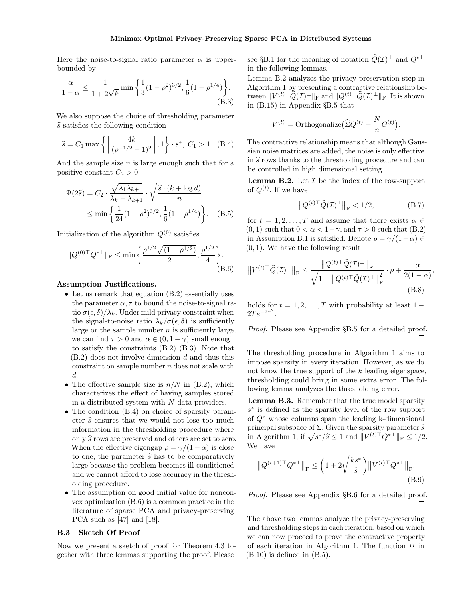Here the noise-to-signal ratio parameter  $\alpha$  is upperbounded by

$$
\frac{\alpha}{1-\alpha} \le \frac{1}{1+2\sqrt{k}} \min\left\{\frac{1}{3}(1-\rho^2)^{3/2}, \frac{1}{6}(1-\rho^{1/4})\right\}.
$$
\n(B.3)

We also suppose the choice of thresholding parameter  $\hat{s}$  satisfies the following condition

$$
\hat{s} = C_1 \max\left\{ \left[ \frac{4k}{(\rho^{-1/2} - 1)^2} \right], 1 \right\} \cdot s^*, \ C_1 > 1. \tag{B.4}
$$

And the sample size *n* is large enough such that for a positive constant  $C_2 > 0$ 

$$
\Psi(2\hat{s}) = C_2 \cdot \frac{\sqrt{\lambda_1 \lambda_{k+1}}}{\lambda_k - \lambda_{k+1}} \cdot \sqrt{\frac{\hat{s} \cdot (k + \log d)}{n}}
$$
  
 
$$
\leq \min \left\{ \frac{1}{24} (1 - \rho^2)^{3/2}, \frac{1}{6} (1 - \rho^{1/4}) \right\}. \quad (B.5)
$$

Initialization of the algorithm  $Q^{(0)}$  satisfies

$$
||Q^{(0)\top}Q^{*\perp}||_{\mathrm{F}} \leq \min\left\{\frac{\rho^{1/2}\sqrt{(1-\rho^{1/2})}}{2},\frac{\rho^{1/2}}{4}\right\}.
$$
\n(B.6)

#### Assumption Justifications.

- *•* Let us remark that equation (B.2) essentially uses the parameter  $\alpha, \tau$  to bound the noise-to-signal ratio  $\sigma(\epsilon, \delta)/\lambda_k$ . Under mild privacy constraint when the signal-to-noise ratio  $\lambda_k/\sigma(\epsilon,\delta)$  is sufficiently large or the sample number *n* is sufficiently large, we can find  $\tau > 0$  and  $\alpha \in (0, 1 - \gamma)$  small enough to satisfy the constraints (B.2) (B.3). Note that (B.2) does not involve dimension *d* and thus this constraint on sample number *n* does not scale with *d*.
- The effective sample size is  $n/N$  in (B.2), which characterizes the effect of having samples stored in a distributed system with *N* data providers.
- The condition  $(B.4)$  on choice of sparsity parameter  $\hat{s}$  ensures that we would not lose too much information in the thresholding procedure where only  $\hat{s}$  rows are preserved and others are set to zero. When the effective eigengap  $\rho = \gamma/(1-\alpha)$  is close to one, the parameter  $\hat{s}$  has to be comparatively large because the problem becomes ill-conditioned and we cannot afford to lose accuracy in the thresholding procedure.
- The assumption on good initial value for nonconvex optimization (B.6) is a common practice in the literature of sparse PCA and privacy-preserving PCA such as [47] and [18].

### B.3 Sketch Of Proof

Now we present a sketch of proof for Theorem 4.3 together with three lemmas supporting the proof. Please

see §B.1 for the meaning of notation  $\widehat{Q}(\mathcal{I})^{\perp}$  and  $Q^{*\perp}$ in the following lemmas.

Lemma B.2 analyzes the privacy preservation step in Algorithm 1 by presenting a contractive relationship between  $||V^{(t)\top}\widehat{Q}(\mathcal{I})^{\perp}||_F$  and  $||Q^{(t)\top}\widehat{Q}(\mathcal{I})^{\perp}||_F$ . It is shown in (B.15) in Appendix §B.5 that

$$
V^{(t)} = \text{Orthogonalize}(\hat{\Sigma}Q^{(t)} + \frac{N}{n}G^{(t)}).
$$

The contractive relationship means that although Gaussian noise matrices are added, the noise is only effective in  $\hat{s}$  rows thanks to the thresholding procedure and can be controlled in high dimensional setting.

**Lemma B.2.** Let  $I$  be the index of the row-support of  $Q^{(t)}$ . If we have

$$
\left\| Q^{(t)\top} \widehat{Q}(\mathcal{I})^{\perp} \right\|_{\mathrm{F}} < 1/2, \tag{B.7}
$$

*,*

for  $t = 1, 2, ..., T$  and assume that there exists  $\alpha \in$  $(0,1)$  such that  $0 < \alpha < 1-\gamma$ , and  $\tau > 0$  such that  $(B.2)$ in Assumption B.1 is satisfied. Denote  $\rho = \gamma/(1-\alpha) \in$ (0*,* 1). We have the following result

$$
||V^{(t)\top}\widehat{Q}(\mathcal{I})^{\perp}||_{\mathrm{F}} \le \frac{||Q^{(t)\top}\widehat{Q}(\mathcal{I})^{\perp}||_{\mathrm{F}}}{\sqrt{1 - ||Q^{(t)\top}\widehat{Q}(\mathcal{I})^{\perp}||_{\mathrm{F}}^{2}}} \cdot \rho + \frac{\alpha}{2(1 - \alpha)}
$$
(B.8)

holds for  $t = 1, 2, ..., T$  with probability at least 1 –  $2Te^{-2\tau^2}$ .

*Proof.* Please see Appendix §B.5 for a detailed proof.  $\Box$ 

The thresholding procedure in Algorithm 1 aims to impose sparsity in every iteration. However, as we do not know the true support of the *k* leading eigenspace, thresholding could bring in some extra error. The following lemma analyzes the thresholding error.

Lemma B.3. Remember that the true model sparsity *s*⇤ is defined as the sparsity level of the row support of  $Q^*$  whose columns span the leading k-dimensional principal subspace of  $\Sigma$ . Given the sparsity parameter  $\widehat{s}$ in Algorithm 1, if  $\sqrt{s^*/\hat{s}} \leq 1$  and  $||V^{(t)}||_P \leq 1/2$ . We have

$$
||Q^{(t+1)\top}Q^{*\perp}||_{\mathcal{F}} \leq \left(1 + 2\sqrt{\frac{ks^*}{\hat{s}}}\right) ||V^{(t)\top}Q^{*\perp}||_{\mathcal{F}}.
$$
\n(B.9)

*Proof.* Please see Appendix §B.6 for a detailed proof. П

The above two lemmas analyze the privacy-preserving and thresholding steps in each iteration, based on which we can now proceed to prove the contractive property of each iteration in Algorithm 1. The function  $\Psi$  in  $(B.10)$  is defined in  $(B.5)$ .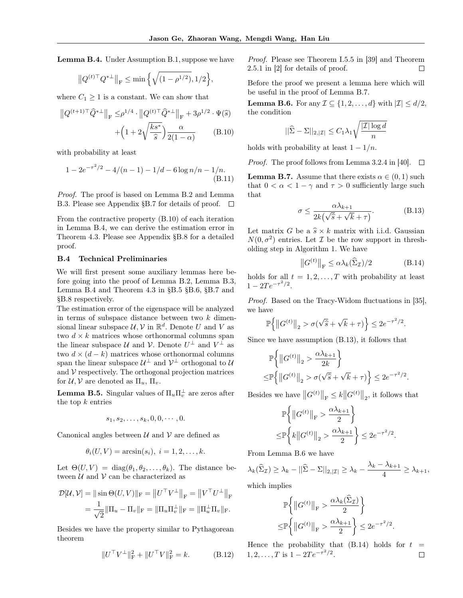Lemma B.4. Under Assumption B.1, suppose we have

$$
||Q^{(t)\top}Q^{*\perp}||_{\mathrm{F}} \leq \min\Big\{\sqrt{(1-\rho^{1/2})},1/2\Big\},\,
$$

where  $C_1 \geq 1$  is a constant. We can show that

$$
||Q^{(t+1)\top}\widehat{Q}^{*\perp}||_{\mathrm{F}} \leq \rho^{1/4} \cdot ||Q^{(t)\top}\widehat{Q}^{*\perp}||_{\mathrm{F}} + 3\rho^{1/2} \cdot \Psi(\widehat{s})
$$

$$
+ \left(1 + 2\sqrt{\frac{k s^*}{\widehat{s}}}\right) \frac{\alpha}{2(1-\alpha)} \tag{B.10}
$$

with probability at least

$$
1 - 2e^{-\tau^2/2} - 4/(n-1) - 1/d - 6\log n/n - 1/n.
$$
\n(B.11)

*Proof.* The proof is based on Lemma B.2 and Lemma B.3. Please see Appendix §B.7 for details of proof.  $\Box$ 

From the contractive property (B.10) of each iteration in Lemma B.4, we can derive the estimation error in Theorem 4.3. Please see Appendix §B.8 for a detailed proof.

#### B.4 Technical Preliminaries

We will first present some auxiliary lemmas here before going into the proof of Lemma B.2, Lemma B.3, Lemma B.4 and Theorem 4.3 in §B.5 §B.6, §B.7 and §B.8 respectively.

The estimation error of the eigenspace will be analyzed in terms of subspace distance between two *k* dimensional linear subspace  $U, V$  in  $\mathbb{R}^d$ . Denote *U* and *V* as two  $d \times k$  matrices whose orthonormal columns span the linear subspace  $U$  and  $V$ . Denote  $U^{\perp}$  and  $V^{\perp}$  as two  $d \times (d - k)$  matrices whose orthonormal columns span the linear subspace  $\mathcal{U}^{\perp}$  and  $\mathcal{V}^{\perp}$  orthogonal to  $\mathcal{U}$ and  $V$  respectively. The orthogonal projection matrices for  $\mathcal{U}, \mathcal{V}$  are denoted as  $\Pi_u, \Pi_v$ .

**Lemma B.5.** Singular values of  $\Pi_u \Pi_v^{\perp}$  are zeros after the top *k* entries

$$
s_1, s_2, \ldots, s_k, 0, 0, \cdots, 0.
$$

Canonical angles between *U* and *V* are defined as

$$
\theta_i(U,V) = \arcsin(s_i), \ i = 1,2,\ldots,k.
$$

Let  $\Theta(U, V) = \text{diag}(\theta_1, \theta_2, \dots, \theta_k)$ . The distance between  $U$  and  $V$  can be characterized as

$$
\mathcal{D}[\mathcal{U}, \mathcal{V}] = \|\sin \Theta(U, V)\|_{\mathcal{F}} = \|U^{\top}V^{\perp}\|_{\mathcal{F}} = \|V^{\top}U^{\perp}\|_{\mathcal{F}}
$$

$$
= \frac{1}{\sqrt{2}} \|\Pi_u - \Pi_v\|_{\mathcal{F}} = \|\Pi_u \Pi_v^{\perp}\|_{\mathcal{F}} = \|\Pi_u^{\perp} \Pi_v\|_{\mathcal{F}}.
$$

Besides we have the property similar to Pythagorean theorem

$$
||U^{\top}V^{\perp}||_{\mathcal{F}}^2 + ||U^{\top}V||_{\mathcal{F}}^2 = k.
$$
 (B.12)

*Proof.* Please see Theorem I.5.5 in [39] and Theorem 2.5.1 in [2] for details of proof. П

Before the proof we present a lemma here which will be useful in the proof of Lemma B.7.

**Lemma B.6.** For any  $\mathcal{I} \subseteq \{1, 2, ..., d\}$  with  $|\mathcal{I}| \leq d/2$ , the condition

$$
||\widehat{\Sigma} - \Sigma||_{2,|\mathcal{I}|} \leq C_1 \lambda_1 \sqrt{\frac{|\mathcal{I}| \log d}{n}}
$$

holds with probability at least  $1 - 1/n$ .

*Proof.* The proof follows from Lemma 3.2.4 in [40].  $\Box$ 

**Lemma B.7.** Assume that there exists  $\alpha \in (0, 1)$  such that  $0 < \alpha < 1 - \gamma$  and  $\tau > 0$  sufficiently large such that

$$
\sigma \le \frac{\alpha \lambda_{k+1}}{2k(\sqrt{\hat{s}} + \sqrt{k} + \tau)}.
$$
 (B.13)

Let matrix *G* be a  $\hat{s} \times k$  matrix with i.i.d. Gaussian  $N(0, \sigma^2)$  entries. Let *I* be the row support in thresholding step in Algorithm 1. We have

$$
\left\|G^{(t)}\right\|_{\mathrm{F}} \leq \alpha \lambda_k(\widehat{\Sigma}_{\mathcal{I}})/2\tag{B.14}
$$

holds for all  $t = 1, 2, \ldots, T$  with probability at least  $1 - 2Te^{-\tau^2/2}$ .

*Proof.* Based on the Tracy-Widom fluctuations in [35], we have

$$
\mathbb{P}\left\{\left\|G^{(t)}\right\|_2 > \sigma(\sqrt{\hat{s}} + \sqrt{k} + \tau)\right\} \le 2e^{-\tau^2/2}.
$$

Since we have assumption (B.13), it follows that

$$
\mathbb{P}\left\{ \left\| G^{(t)} \right\|_2 > \frac{\alpha \lambda_{k+1}}{2k} \right\}
$$
  

$$
\leq \mathbb{P}\left\{ \left\| G^{(t)} \right\|_2 > \sigma(\sqrt{\hat{s}} + \sqrt{k} + \tau) \right\} \leq 2e^{-\tau^2/2}.
$$

Besides we have  $||G^{(t)}||_F \leq k||G^{(t)}||_2$ , it follows that

$$
\begin{aligned} &\mathbb{P}\bigg\{\left\|G^{(t)}\right\|_{\mathrm{F}} > \frac{\alpha\lambda_{k+1}}{2}\bigg\}\\ \leq &\mathbb{P}\bigg\{k\big\|G^{(t)}\big\|_2 > \frac{\alpha\lambda_{k+1}}{2}\bigg\} \leq 2e^{-\tau^2/2}. \end{aligned}
$$

From Lemma B.6 we have

$$
\lambda_k(\widehat{\Sigma}_{\mathcal{I}}) \ge \lambda_k - ||\widehat{\Sigma} - \Sigma||_{2,|\mathcal{I}|} \ge \lambda_k - \frac{\lambda_k - \lambda_{k+1}}{4} \ge \lambda_{k+1},
$$
  
which implies

which implies

$$
\mathbb{P}\left\{ \left\| G^{(t)} \right\|_{\mathrm{F}} > \frac{\alpha \lambda_k(\widehat{\Sigma}_{\mathcal{I}})}{2} \right\} \leq \mathbb{P}\left\{ \left\| G^{(t)} \right\|_{\mathrm{F}} > \frac{\alpha \lambda_{k+1}}{2} \right\} \leq 2e^{-\tau^2/2}.
$$

Hence the probability that  $(B.14)$  holds for  $t =$  $1, 2, \ldots, T$  is  $1 - 2Te^{-\tau^2/2}$ .  $\Box$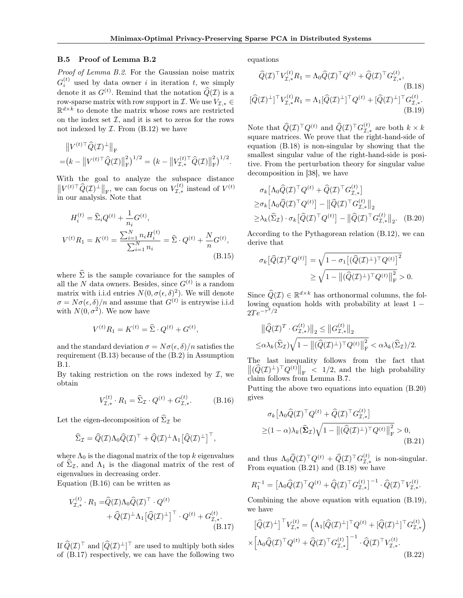### B.5 Proof of Lemma B.2

*Proof of Lemma B.2.* For the Gaussian noise matrix  $G_i^{(t)}$  used by data owner *i* in iteration *t*, we simply denote it as  $G^{(t)}$ . Remind that the notation  $\hat{Q}(\mathcal{I})$  is a row-sparse matrix with row support in *I*. We use  $V_{\mathcal{I},*} \in$  $\mathbb{R}^{d \times k}$  to denote the matrix whose rows are restricted on the index set  $I$ , and it is set to zeros for the rows not indexed by *I*. From (B.12) we have

$$
||V^{(t)\top}\widehat{Q}(\mathcal{I})^{\perp}||_{\mathrm{F}}
$$
  
=  $(k - ||V^{(t)\top}\widehat{Q}(\mathcal{I})||_{\mathrm{F}}^{2})^{1/2} = (k - ||V_{\mathcal{I},*}^{(t)\top}\widehat{Q}(\mathcal{I})||_{\mathrm{F}}^{2})^{1/2}.$ 

With the goal to analyze the subspace distance  $\left\| V^{(t)\top} \widehat{Q}(\mathcal{I})^{\perp} \right\|_{\mathrm{F}}$ , we can focus on  $V_{\mathcal{I},*}^{(t)}$  instead of  $V^{(t)}$ in our analysis. Note that

$$
H_i^{(t)} = \hat{\Sigma}_i Q^{(t)} + \frac{1}{n_i} G^{(t)},
$$
  
\n
$$
V^{(t)} R_1 = K^{(t)} = \frac{\sum_{i=1}^N n_i H_i^{(t)}}{\sum_{i=1}^N n_i} = \hat{\Sigma} \cdot Q^{(t)} + \frac{N}{n} G^{(t)},
$$
\n(B.15)

where  $\hat{\Sigma}$  is the sample covariance for the samples of all the *N* data owners. Besides, since  $G^{(t)}$  is a random matrix with i.i.d entries  $N(0, \sigma(\epsilon, \delta)^2)$ . We will denote  $\sigma = N\sigma(\epsilon, \delta)/n$  and assume that  $G^{(t)}$  is entrywise i.i.d with  $N(0, \sigma^2)$ . We now have

$$
V^{(t)}R_1 = K^{(t)} = \hat{\Sigma} \cdot Q^{(t)} + G^{(t)},
$$

and the standard deviation  $\sigma = N\sigma(\epsilon, \delta)/n$  satisfies the requirement (B.13) because of the (B.2) in Assumption B.1.

By taking restriction on the rows indexed by  $I$ , we obtain

$$
V_{\mathcal{I},*}^{(t)} \cdot R_1 = \widehat{\Sigma}_{\mathcal{I}} \cdot Q^{(t)} + G_{\mathcal{I},*}^{(t)}.\tag{B.16}
$$

Let the eigen-decomposition of  $\widehat{\Sigma}_{\mathcal{I}}$  be

$$
\widehat{\Sigma}_{\mathcal{I}} = \widehat{Q}(\mathcal{I}) \Lambda_0 \widehat{Q}(\mathcal{I})^\top + \widehat{Q}(\mathcal{I})^\perp \Lambda_1 \big[ \widehat{Q}(\mathcal{I})^\perp \big]^\top,
$$

where  $\Lambda_0$  is the diagonal matrix of the top  $k$  eigenvalues of  $\hat{\Sigma}_{\mathcal{I}}$ , and  $\Lambda_1$  is the diagonal matrix of the rest of eigenvalues in decreasing order.

Equation (B.16) can be written as

$$
V_{\mathcal{I},*}^{(t)} \cdot R_1 = \widehat{Q}(\mathcal{I}) \Lambda_0 \widehat{Q}(\mathcal{I})^\top \cdot Q^{(t)} + \widehat{Q}(\mathcal{I})^\perp \Lambda_1 \big[ \widehat{Q}(\mathcal{I})^\perp \big]^\top \cdot Q^{(t)} + G_{\mathcal{I},*}^{(t)}.
$$
\n(B.17)

If  $Q(\mathcal{I})^{\perp}$  and  $[Q(\mathcal{I})^{\perp}]^{\perp}$  are used to multiply both sides of (B.17) respectively, we can have the following two equations

$$
\begin{aligned}\n\widehat{Q}(\mathcal{I})^{\top} V_{\mathcal{I},*}^{(t)} R_1 &= \Lambda_0 \widehat{Q}(\mathcal{I})^{\top} Q^{(t)} + \widehat{Q}(\mathcal{I})^{\top} G_{\mathcal{I},*}^{(t)}, \\
&\quad (B.18) \\
[\widehat{Q}(\mathcal{I})^{\perp}]^{\top} V_{\mathcal{I},*}^{(t)} R_1 &= \Lambda_1 [\widehat{Q}(\mathcal{I})^{\perp}]^{\top} Q^{(t)} + [\widehat{Q}(\mathcal{I})^{\perp}]^{\top} G_{\mathcal{I},*}^{(t)}.\n\end{aligned}
$$

Note that  $\widehat{Q}(\mathcal{I})^{\top}Q^{(t)}$  and  $\widehat{Q}(\mathcal{I})^{\top}G^{(t)}_{\mathcal{I},*}$  are both  $k \times k$ square matrices. We prove that the right-hand-side of equation (B.18) is non-singular by showing that the smallest singular value of the right-hand-side is positive. From the perturbation theory for singular value decomposition in [38], we have

$$
\sigma_k \left[ \Lambda_0 \hat{Q}(\mathcal{I})^\top Q^{(t)} + \hat{Q}(\mathcal{I})^\top G_{\mathcal{I},*}^{(t)} \right]
$$
  
\n
$$
\geq \sigma_k \left[ \Lambda_0 \hat{Q}(\mathcal{I})^\top Q^{(t)} \right] - \left\| \hat{Q}(\mathcal{I})^\top G_{\mathcal{I},*}^{(t)} \right\|_2
$$
  
\n
$$
\geq \lambda_k (\hat{\Sigma}_{\mathcal{I}}) \cdot \sigma_k \left[ \hat{Q}(\mathcal{I})^\top Q^{(t)} \right] - \left\| \hat{Q}(\mathcal{I})^\top G_{\mathcal{I},*}^{(t)} \right\|_2. \quad (B.20)
$$

According to the Pythagorean relation (B.12), we can derive that

$$
\sigma_k[\widehat{Q}(\mathcal{I})^T Q^{(t)}] = \sqrt{1 - \sigma_1[(\widehat{Q}(\mathcal{I})^{\perp})^T Q^{(t)}]^2}
$$
  
 
$$
\geq \sqrt{1 - ||(\widehat{Q}(\mathcal{I})^{\perp})^T Q^{(t)}||^2_{\mathrm{F}}} > 0.
$$

Since  $\widehat{Q}(\mathcal{I}) \in \mathbb{R}^{d \times k}$  has orthonormal columns, the following equation holds with probability at least  $1 2Te^{-\frac{c^2}{2}}$ 

$$
\left\|\widehat{Q}(\mathcal{I})^T \cdot G_{\mathcal{I},*}^{(t)}\right\|_2 \leq \left\|G_{\mathcal{I},*}^{(t)}\right\|_2
$$
  

$$
\leq \alpha \lambda_k(\widehat{\Sigma}_{\mathcal{I}})\sqrt{1 - \left\|(\widehat{Q}(\mathcal{I})^\perp)^\top Q^{(t)}\right\|_{\mathrm{F}}^2} < \alpha \lambda_k(\widehat{\Sigma}_{\mathcal{I}})/2.
$$

The last inequality follows from the fact that  $\left\| \left( \widehat{Q}(\mathcal{I})^{\perp} \right)^{\top} Q^{(t)} \right\|_{\text{F}} \leq 1/2$ , and the high probability claim follows from Lemma B.7.

Putting the above two equations into equation (B.20) gives

$$
\sigma_k \left[ \Lambda_0 \widehat{Q}(\mathcal{I})^\top Q^{(t)} + \widehat{Q}(\mathcal{I})^\top G_{\mathcal{I},*}^{(t)} \right]
$$
  
 
$$
\geq (1 - \alpha) \lambda_k (\widehat{\Sigma}_{\mathcal{I}}) \sqrt{1 - \| (\widehat{Q}(\mathcal{I})^\perp)^\top Q^{(t)} \|_{\mathrm{F}}^2} > 0,
$$
(B.21)

and thus  $\Lambda_0 \widehat{Q}(\mathcal{I})^\top Q^{(t)} + \widehat{Q}(\mathcal{I})^\top G^{(t)}_{\mathcal{I},*}$  is non-singular. From equation (B.21) and (B.18) we have

$$
R_1^{-1} = \left[\Lambda_0 \widehat{Q}(\mathcal{I})^\top Q^{(t)} + \widehat{Q}(\mathcal{I})^\top G_{\mathcal{I},*}^{(t)}\right]^{-1} \cdot \widehat{Q}(\mathcal{I})^\top V_{\mathcal{I},*}^{(t)}.
$$

Combining the above equation with equation (B.19), we have

$$
\begin{aligned} \left[\widehat{Q}(\mathcal{I})^{\perp}\right]^{\top} V_{\mathcal{I},*}^{(t)} &= \left(\Lambda_1[\widehat{Q}(\mathcal{I})^{\perp}]^{\top} Q^{(t)} + [\widehat{Q}(\mathcal{I})^{\perp}]^{\top} G_{\mathcal{I},*}^{(t)}\right) \\ &\times \left[\Lambda_0 \widehat{Q}(\mathcal{I})^{\top} Q^{(t)} + \widehat{Q}(\mathcal{I})^{\top} G_{\mathcal{I},*}^{(t)}\right]^{-1} \cdot \widehat{Q}(\mathcal{I})^{\top} V_{\mathcal{I},*}^{(t)}. \end{aligned} \tag{B.22}
$$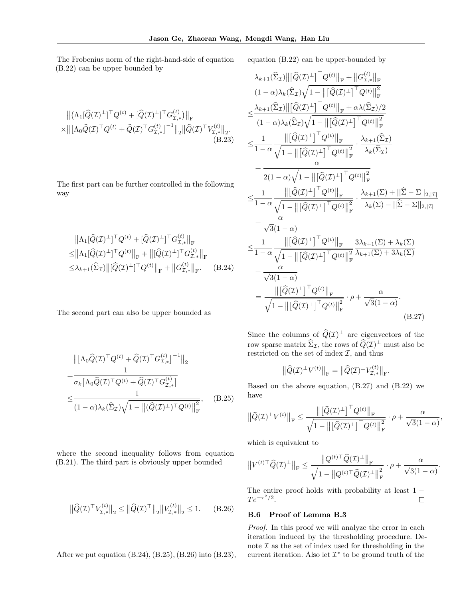The Frobenius norm of the right-hand-side of equation (B.22) can be upper bounded by

$$
\begin{aligned} &\left\| \left( \Lambda_1[\widehat{Q}(\mathcal{I})^{\perp}]^{\top} Q^{(t)} + [\widehat{Q}(\mathcal{I})^{\perp}]^{\top} G_{\mathcal{I},*}^{(t)} \right) \right\|_{\mathrm{F}} \\ & \times \left\| \left[ \Lambda_0 \widehat{Q}(\mathcal{I})^{\top} Q^{(t)} + \widehat{Q}(\mathcal{I})^{\top} G_{\mathcal{I},*}^{(t)} \right]^{-1} \right\|_{2} \left\| \widehat{Q}(\mathcal{I})^{\top} V_{\mathcal{I},*}^{(t)} \right\|_{2}. \\ &\qquad \qquad (B.23) \end{aligned}
$$

The first part can be further controlled in the following way

$$
\|\Lambda_1[\widehat{Q}(\mathcal{I})^{\perp}]^\top Q^{(t)} + [\widehat{Q}(\mathcal{I})^{\perp}]^\top G_{\mathcal{I},*}^{(t)}\|_{\mathrm{F}}
$$
  
\n
$$
\leq \|\Lambda_1[\widehat{Q}(\mathcal{I})^{\perp}]^\top Q^{(t)}\|_{\mathrm{F}} + \|[\widehat{Q}(\mathcal{I})^{\perp}]^\top G_{\mathcal{I},*}^{(t)}\|_{\mathrm{F}}
$$
  
\n
$$
\leq \lambda_{k+1}(\widehat{\Sigma}_{\mathcal{I}})\|[\widehat{Q}(\mathcal{I})^{\perp}]^\top Q^{(t)}\|_{\mathrm{F}} + \|G_{\mathcal{I},*}^{(t)}\|_{\mathrm{F}}.
$$
 (B.24)

The second part can also be upper bounded as

$$
\begin{split}\n&\left\| \left[ \Lambda_0 \widehat{Q}(\mathcal{I})^\top Q^{(t)} + \widehat{Q}(\mathcal{I})^\top G_{\mathcal{I},*}^{(t)} \right]^{-1} \right\|_2 \\
&= \frac{1}{\sigma_k \left[ \Lambda_0 \widehat{Q}(\mathcal{I})^\top Q^{(t)} + \widehat{Q}(\mathcal{I})^\top G_{\mathcal{I},*}^{(t)} \right]} \\
&\leq \frac{1}{(1-\alpha)\lambda_k(\widehat{\Sigma}_{\mathcal{I}})\sqrt{1 - \left\| (\widehat{Q}(\mathcal{I})^\perp)^\top Q^{(t)} \right\|_{\mathrm{F}}^2}},\n\end{split} \tag{B.25}
$$

where the second inequality follows from equation (B.21). The third part is obviously upper bounded

$$
\left\|\widehat{Q}(\mathcal{I})^{\top}V_{\mathcal{I},*}^{(t)}\right\|_{2} \leq \left\|\widehat{Q}(\mathcal{I})^{\top}\right\|_{2}\left\|V_{\mathcal{I},*}^{(t)}\right\|_{2} \leq 1. \tag{B.26}
$$

After we put equation (B.24),(B.25),(B.26) into (B.23),

equation (B.22) can be upper-bounded by

$$
\frac{\lambda_{k+1}(\hat{\Sigma}_{\mathcal{I}})||[\hat{Q}(\mathcal{I})^{\perp}]^{\top}Q^{(t)}||_{\mathrm{F}}+||G_{\mathcal{I},*}^{(t)}||_{\mathrm{F}}}{(1-\alpha)\lambda_{k}(\hat{\Sigma}_{\mathcal{I}})\sqrt{1-||[\hat{Q}(\mathcal{I})^{\perp}]^{\top}Q^{(t)}||_{\mathrm{F}}}}\n\leq\frac{\lambda_{k+1}(\hat{\Sigma}_{\mathcal{I}})||[\hat{Q}(\mathcal{I})^{\perp}]^{\top}Q^{(t)}||_{\mathrm{F}}+\alpha\lambda(\hat{\Sigma}_{\mathcal{I}})/2}{(1-\alpha)\lambda_{k}(\hat{\Sigma}_{\mathcal{I}})\sqrt{1-||[\hat{Q}(\mathcal{I})^{\perp}]^{\top}Q^{(t)}||_{\mathrm{F}}}}\n\leq\frac{1}{1-\alpha}\frac{||[\hat{Q}(\mathcal{I})^{\perp}]^{\top}Q^{(t)}||_{\mathrm{F}}}{\sqrt{1-||[\hat{Q}(\mathcal{I})^{\perp}]^{\top}Q^{(t)}||_{\mathrm{F}}}}\cdot\frac{\lambda_{k+1}(\hat{\Sigma}_{\mathcal{I}})}{\lambda_{k}(\hat{\Sigma}_{\mathcal{I}})}\n+ \frac{\alpha}{2(1-\alpha)\sqrt{1-||[\hat{Q}(\mathcal{I})^{\perp}]^{\top}Q^{(t)}||_{\mathrm{F}}}}{2(1-\alpha)\sqrt{1-||[\hat{Q}(\mathcal{I})^{\perp}]^{\top}Q^{(t)}||_{\mathrm{F}}}}\n\leq\frac{1}{1-\alpha}\frac{||[\hat{Q}(\mathcal{I})^{\perp}]^{\top}Q^{(t)}||_{\mathrm{F}}}{\sqrt{1-||[\hat{Q}(\mathcal{I})^{\perp}]^{\top}Q^{(t)}||_{\mathrm{F}}}}\cdot\frac{\lambda_{k+1}(\Sigma)+||\hat{\Sigma}-\Sigma||_{2,|\mathcal{I}|}}{\lambda_{k}(\Sigma)-||\hat{\Sigma}-\Sigma||_{2,|\mathcal{I}|}}+\frac{\alpha}{\sqrt{3}(1-\alpha)}\n\leq\frac{1}{1-\alpha}\frac{||[\hat{Q}(\mathcal{I})^{\perp}]^{\top}Q^{(t)}||_{\mathrm{F}}}{\sqrt{1-||[\hat{Q}(\mathcal{I})^{\perp}]^{\top}Q^{(t)}||_{\mathrm{F}}}}\cdot\frac{3\lambda_{k+
$$

Since the columns of  $\widehat{Q}(\mathcal{I})^{\perp}$  are eigenvectors of the row sparse matrix  $\widehat{\Sigma}_{\mathcal{I}}$ , the rows of  $\widehat{Q}(\mathcal{I})^{\perp}$  must also be restricted on the set of index  $I$ , and thus

$$
\left\|\widehat{Q}(\mathcal{I})^{\perp}V^{(t)}\right\|_{\mathrm{F}}=\left\|\widehat{Q}(\mathcal{I})^{\perp}V_{\mathcal{I},*}^{(t)}\right\|_{\mathrm{F}}.
$$

Based on the above equation, (B.27) and (B.22) we have

$$
\left\|\widehat{Q}(\mathcal{I})^{\perp}V^{(t)}\right\|_{\mathrm{F}} \leq \frac{\left\|\left[\widehat{Q}(\mathcal{I})^{\perp}\right]^{\top}Q^{(t)}\right\|_{\mathrm{F}}}{\sqrt{1-\left\|\left[\widehat{Q}(\mathcal{I})^{\perp}\right]^{\top}Q^{(t)}\right\|_{\mathrm{F}}^{2}}}\cdot\rho + \frac{\alpha}{\sqrt{3}(1-\alpha)}
$$

*,*

*.*

which is equivalent to

$$
\left\|V^{(t)\top}\widehat{Q}(\mathcal{I})^{\perp}\right\|_{\mathrm{F}} \leq \frac{\left\|Q^{(t)\top}\widehat{Q}(\mathcal{I})^{\perp}\right\|_{\mathrm{F}}}{\sqrt{1-\left\|Q^{(t)\top}\widehat{Q}(\mathcal{I})^{\perp}\right\|_{\mathrm{F}}^{2}}}\cdot\rho + \frac{\alpha}{\sqrt{3}(1-\alpha)}
$$

The entire proof holds with probability at least  $1-\frac{2}{\pi}$  $Te^{-\tau^2/2}.$ 

## B.6 Proof of Lemma B.3

*Proof.* In this proof we will analyze the error in each iteration induced by the thresholding procedure. Denote *I* as the set of index used for thresholding in the current iteration. Also let  $\mathcal{I}^*$  to be ground truth of the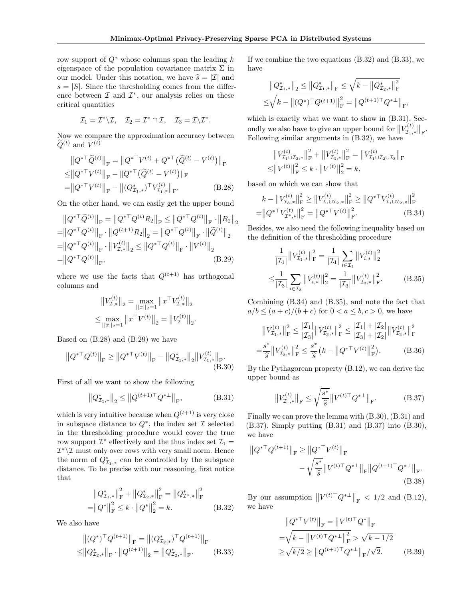row support of  $Q^*$  whose columns span the leading  $k$ eigenspace of the population covariance matrix  $\Sigma$  in our model. Under this notation, we have  $\hat{s} = |\mathcal{I}|$  and  $s = |S|$ . Since the thresholding comes from the difference between  $\mathcal I$  and  $\mathcal I^*$ , our analysis relies on these critical quantities

$$
\mathcal{I}_1=\mathcal{I}^*\backslash \mathcal{I}, \quad \mathcal{I}_2=\mathcal{I}^*\cap \mathcal{I}, \quad \mathcal{I}_3=\mathcal{I}\backslash \mathcal{I}^*.
$$

Now we compare the approximation accuracy between  $\hat{Q}^{(t)}$  and  $V^{(t)}$ 

$$
||Q^{*T}\tilde{Q}^{(t)}||_{\text{F}} = ||Q^{*T}V^{(t)} + Q^{*T}(\tilde{Q}^{(t)} - V^{(t)})||_{\text{F}}
$$
  
\n
$$
\leq ||Q^{*T}V^{(t)}||_{\text{F}} - ||Q^{*T}(\tilde{Q}^{(t)} - V^{(t)})||_{\text{F}}
$$
  
\n
$$
= ||Q^{*T}V^{(t)}||_{\text{F}} - ||(Q^{*}_{\mathcal{I}_{1},*})^{T}V^{(t)}_{\mathcal{I}_{1},*}||_{\text{F}}.
$$
 (B.28)

On the other hand, we can easily get the upper bound

$$
||Q^{*T}\tilde{Q}^{(t)}||_{\mathrm{F}} = ||Q^{*T}Q^{(t)}R_2||_{\mathrm{F}} \le ||Q^{*T}Q^{(t)}||_{\mathrm{F}} \cdot ||R_2||_2
$$
  
\n
$$
= ||Q^{*T}Q^{(t)}||_{\mathrm{F}} \cdot ||Q^{(t+1)}R_2||_2 = ||Q^{*T}Q^{(t)}||_{\mathrm{F}} \cdot ||\tilde{Q}^{(t)}||_2
$$
  
\n
$$
= ||Q^{*T}Q^{(t)}||_{\mathrm{F}} \cdot ||V_{\mathcal{I},*}^{(t)}||_{2} \le ||Q^{*T}Q^{(t)}||_{\mathrm{F}} \cdot ||V^{(t)}||_2
$$
  
\n
$$
= ||Q^{*T}Q^{(t)}||_{\mathrm{F}}, \qquad (B.29)
$$

where we use the facts that  $Q^{(t+1)}$  has orthogonal columns and

$$
||V_{\mathcal{I},*}^{(t)}||_2 = \max_{||x||_2=1} ||x^\top V_{\mathcal{I},*}^{(t)}||_2
$$
  

$$
\leq \max_{||x||_2=1} ||x^\top V^{(t)}||_2 = ||V_2^{(t)}||_2.
$$

Based on (B.28) and (B.29) we have

$$
\left\|Q^{*\top}Q^{(t)}\right\|_{\mathrm{F}} \ge \left\|Q^{*\top}V^{(t)}\right\|_{\mathrm{F}} - \left\|Q^*_{\mathcal{I}_1,*}\right\|_2\left\|V^{(t)}_{\mathcal{I}_1,*}\right\|_{\mathrm{F}}.
$$
\n(B.30)

First of all we want to show the following

$$
||Q_{\mathcal{I}_1,*}^*||_2 \le ||Q^{(t+1)\top}Q^{* \perp}||_{\mathrm{F}},\tag{B.31}
$$

which is very intuitive because when  $Q^{(t+1)}$  is very close in subspace distance to  $Q^*$ , the index set  $\mathcal I$  selected in the thresholding procedure would cover the true row support  $\mathcal{I}^*$  effectively and the thus index set  $\mathcal{I}_1$  =  $\mathcal{I}^*\backslash\mathcal{I}$  must only over rows with very small norm. Hence the norm of  $Q^*_{\mathcal{I}_1,*}$  can be controlled by the subspace distance. To be precise with our reasoning, first notice that

$$
\|Q_{\mathcal{I}_{1},*}^{*}\|_{\mathrm{F}}^{2} + \|Q_{\mathcal{I}_{2},*}^{*}\|_{\mathrm{F}}^{2} = \|Q_{\mathcal{I}^{*},*}^{*}\|_{\mathrm{F}}^{2}
$$

$$
= \|Q^{*}\|_{\mathrm{F}}^{2} \leq k \cdot \|Q^{*}\|_{2}^{2} = k. \tag{B.32}
$$

We also have

$$
\| (Q^*)^\top Q^{(t+1)} \|_{\mathrm{F}} = \| (Q^*_{\mathcal{I}_2,*})^\top Q^{(t+1)} \|_{\mathrm{F}}
$$
  

$$
\leq \| Q^*_{\mathcal{I}_2,*} \|_{\mathrm{F}} \cdot \| Q^{(t+1)} \|_{2} = \| Q^*_{\mathcal{I}_2,*} \|_{\mathrm{F}}.
$$
 (B.33)

If we combine the two equations (B.32) and (B.33), we have

$$
\label{eq:est} \begin{split} \left\|Q_{\mathcal{I}_{1},*}^{*}\right\|_{2} & \leq \left\|Q_{\mathcal{I}_{1},*}^{*}\right\|_{\mathrm{F}} \leq \sqrt{k-\left\|Q_{\mathcal{I}_{2},*}^{*}\right\|_{\mathrm{F}}^{2}}\\ \leq & \sqrt{k-\left\|(Q^{*})^{\top}Q^{(t+1)}\right\|_{\mathrm{F}}^{2}} = \left\|Q^{(t+1)\top}Q^{*{\perp}}\right\|_{\mathrm{F}}, \end{split}
$$

which is exactly what we want to show in (B.31). Secondly we also have to give an upper bound for  $||V_{\mathcal{I}_{1},*}^{(t)}||_{\mathrm{F}}$ . Following similar arguments in (B.32), we have

$$
||V_{\mathcal{I}_1 \cup \mathcal{I}_2,*}^{(t)}||_F^2 + ||V_{\mathcal{I}_3,*}^{(t)}||_F^2 = ||V_{\mathcal{I}_1 \cup \mathcal{I}_2 \cup \mathcal{I}_3}^{(t)}||_F
$$
  

$$
\leq ||V^{(t)}||_F^2 \leq k \cdot ||V^{(t)}||_2^2 = k,
$$

based on which we can show that

$$
k - \|V_{\mathcal{I}_3,*}^{(t)}\|_{\mathrm{F}}^2 \ge \|V_{\mathcal{I}_1 \cup \mathcal{I}_2,*}^{(t)}\|_{\mathrm{F}}^2 \ge \|Q^{* \top} V_{\mathcal{I}_1 \cup \mathcal{I}_2,*}^{(t)}\|_{\mathrm{F}}^2
$$

$$
= \|Q^{* \top} V_{\mathcal{I}^*,*}^{(t)}\|_{\mathrm{F}}^2 = \|Q^{* \top} V^{(t)}\|_{\mathrm{F}}^2. \tag{B.34}
$$

Besides, we also need the following inequality based on the definition of the thresholding procedure

$$
\frac{1}{|\mathcal{I}_1|} ||V_{\mathcal{I}_1,*}^{(t)}||_{\mathrm{F}}^2 = \frac{1}{|\mathcal{I}_1|} \sum_{i \in \mathcal{I}_1} ||V_{i,*}^{(t)}||_2^2
$$
  

$$
\leq \frac{1}{|\mathcal{I}_3|} \sum_{i \in \mathcal{I}_3} ||V_{i,*}^{(t)}||_2^2 = \frac{1}{|\mathcal{I}_3|} ||V_{\mathcal{I}_3,*}^{(t)}||_{\mathrm{F}}^2.
$$
 (B.35)

Combining (B.34) and (B.35), and note the fact that  $a/b \leq (a+c)/(b+c)$  for  $0 < a \leq b, c > 0$ , we have

$$
||V_{\mathcal{I}_{1},*}^{(t)}||_{\mathrm{F}}^{2} \leq \frac{|\mathcal{I}_{1}|}{|\mathcal{I}_{3}|}||V_{\mathcal{I}_{3},*}^{(t)}||_{\mathrm{F}}^{2} \leq \frac{|\mathcal{I}_{1}| + |\mathcal{I}_{2}|}{|\mathcal{I}_{3}| + |\mathcal{I}_{2}|}||V_{\mathcal{I}_{3},*}^{(t)}||_{\mathrm{F}}^{2}
$$

$$
= \frac{s^{*}}{\hat{s}}||V_{\mathcal{I}_{3},*}^{(t)}||_{\mathrm{F}}^{2} \leq \frac{s^{*}}{\hat{s}}(k - ||Q^{*T}V^{(t)}||_{\mathrm{F}}^{2}). \tag{B.36}
$$

By the Pythagorean property (B.12), we can derive the upper bound as

$$
||V_{\mathcal{I}_1,*}^{(t)}||_{\mathrm{F}} \le \sqrt{\frac{s^*}{\hat{s}}} ||V^{(t)\top} Q^{*\perp}||_{\mathrm{F}}.
$$
 (B.37)

Finally we can prove the lemma with  $(B.30)$ ,  $(B.31)$  and (B.37). Simply putting (B.31) and (B.37) into (B.30), we have

$$
||Q^{*T}Q^{(t+1)}||_F \ge ||Q^{*T}V^{(t)}||_F
$$
  

$$
-\sqrt{\frac{s^*}{\hat{s}}}||V^{(t)T}Q^{*L}||_F||Q^{(t+1)T}Q^{*L}||_F.
$$
  
(B.38)

By our assumption  $||V^{(t)}\top Q^{*\perp}||_F < 1/2$  and (B.12), we have

$$
||Q^{*T}V^{(t)}||_F = ||V^{(t)T}Q^*||_F
$$
  
= $\sqrt{k - ||V^{(t)T}Q^{*+}||_F^2} > \sqrt{k - 1/2}$   
 $\ge \sqrt{k/2} \ge ||Q^{(t+1)T}Q^{*+}||_F/\sqrt{2}.$  (B.39)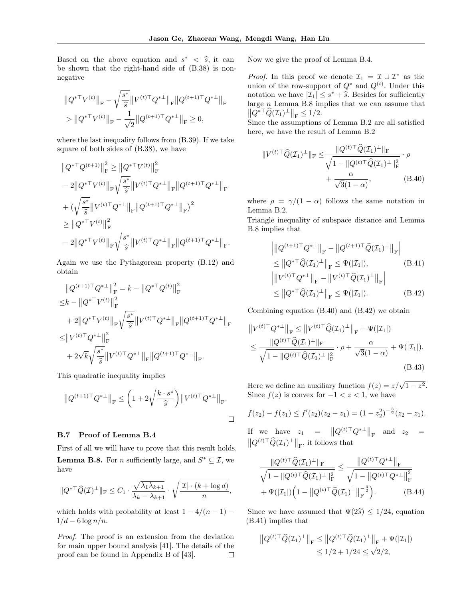Based on the above equation and  $s^* < \hat{s}$ , it can be shown that the right-hand side of (B.38) is nonnegative

$$
\label{eq:20} \begin{split} &\left\|Q^{*\top}V^{(t)}\right\|_{\rm F}-\sqrt{\frac{s^*}{\hat{s}}}\left\|V^{(t)\top}Q^{*\perp}\right\|_{\rm F}\left\|Q^{(t+1)\top}Q^{*\perp}\right\|_{\rm F}\\&>\left\|Q^{*\top}V^{(t)}\right\|_{\rm F}-\frac{1}{\sqrt{2}}\left\|Q^{(t+1)\top}Q^{*\perp}\right\|_{\rm F}\geq 0, \end{split}
$$

where the last inequality follows from (B.39). If we take square of both sides of (B.38), we have

$$
||Q^{*T}Q^{(t+1)}||_F^2 \ge ||Q^{*T}V^{(t)}||_F^2
$$
  
\n
$$
-2||Q^{*T}V^{(t)}||_F\sqrt{\frac{s^*}{\hat{s}}}||V^{(t)T}Q^{*L}||_F||Q^{(t+1)T}Q^{*L}||_F
$$
  
\n
$$
+(\sqrt{\frac{s^*}{\hat{s}}}||V^{(t)T}Q^{*L}||_F||Q^{(t+1)T}Q^{*L}||_F)^2
$$
  
\n
$$
\ge ||Q^{*T}V^{(t)}||_F^2
$$
  
\n
$$
-2||Q^{*T}V^{(t)}||_F\sqrt{\frac{s^*}{\hat{s}}}||V^{(t)T}Q^{*L}||_F||Q^{(t+1)T}Q^{*L}||_F.
$$

Again we use the Pythagorean property (B.12) and obtain

$$
||Q^{(t+1)\top}Q^{* \bot}||_F^2 = k - ||Q^{* \top}Q^{(t)}||_F^2
$$
  
\n
$$
\leq k - ||Q^{* \top}V^{(t)}||_F^2
$$
  
\n
$$
+ 2||Q^{* \top}V^{(t)}||_F \sqrt{\frac{s^*}{\hat{s}}}||V^{(t)\top}Q^{* \bot}||_F ||Q^{(t+1)\top}Q^{* \bot}||_F
$$
  
\n
$$
\leq ||V^{(t)\top}Q^{* \bot}||_F^2
$$
  
\n
$$
+ 2\sqrt{k}\sqrt{\frac{s^*}{\hat{s}}}||V^{(t)\top}Q^{* \bot}||_F ||Q^{(t+1)\top}Q^{* \bot}||_F.
$$

This quadratic inequality implies

$$
||Q^{(t+1)\top}Q^{*\perp}||_{\mathrm{F}}\leq \bigg(1+2\sqrt{\frac{k\cdot s^*}{\hat{s}}}\bigg)\big\|V^{(t)\top}Q^{*\perp}\big\|_{\mathrm{F}}.
$$

# B.7 Proof of Lemma B.4

First of all we will have to prove that this result holds. **Lemma B.8.** For *n* sufficiently large, and  $S^* \subseteq \mathcal{I}$ , we have

$$
||Q^{*T}\widehat{Q}(\mathcal{I})^{\perp}||_{\mathrm{F}} \leq C_1 \cdot \frac{\sqrt{\lambda_1 \lambda_{k+1}}}{\lambda_k - \lambda_{k+1}} \cdot \sqrt{\frac{|\mathcal{I}| \cdot (k + \log d)}{n}},
$$

which holds with probability at least  $1 - 4/(n - 1)$  $1/d - 6 \log n/n$ .

*Proof.* The proof is an extension from the deviation for main upper bound analysis [41]. The details of the proof can be found in Appendix B of [43].  $\Box$  Now we give the proof of Lemma B.4.

*Proof.* In this proof we denote  $\mathcal{I}_1 = \mathcal{I} \cup \mathcal{I}^*$  as the union of the row-support of  $Q^*$  and  $Q^{(t)}$ . Under this notation we have  $|\mathcal{I}_1| \leq s^* + \hat{s}$ . Besides for sufficiently large *n* Lemma B.8 implies that we can assume that  $||Q^* \overline{Q}(\mathcal{I}_1)^\perp||_F \leq 1/2.$ 

Since the assumptions of Lemma B.2 are all satisfied here, we have the result of Lemma B.2

$$
||V^{(t)\top}\hat{Q}(\mathcal{I}_1)^{\perp}||_{\mathrm{F}} \leq \frac{||Q^{(t)\top}\hat{Q}(\mathcal{I}_1)^{\perp}||_{\mathrm{F}}}{\sqrt{1 - ||Q^{(t)\top}\hat{Q}(\mathcal{I}_1)^{\perp}||_{\mathrm{F}}^2}} \cdot \rho + \frac{\alpha}{\sqrt{3}(1 - \alpha)},
$$
(B.40)

where  $\rho = \gamma/(1 - \alpha)$  follows the same notation in Lemma B.2.

Triangle inequality of subspace distance and Lemma B.8 implies that

$$
\|Q^{(t+1)\top}Q^{*\perp}\|_{\mathrm{F}} - \|Q^{(t+1)\top}\hat{Q}(\mathcal{I}_{1})^{\perp}\|_{\mathrm{F}} \leq \|Q^{*\top}\hat{Q}(\mathcal{I}_{1})^{\perp}\|_{\mathrm{F}} \leq \Psi(|\mathcal{I}_{1}|), \qquad (B.41) \|W^{(t)\top}Q^{*\perp}\|_{\mathrm{F}} - \|V^{(t)\top}\hat{Q}(\mathcal{I}_{1})^{\perp}\|_{\mathrm{F}} \leq \|Q^{*\top}\hat{Q}(\mathcal{I}_{1})^{\perp}\|_{\mathrm{F}} \leq \Psi(|\mathcal{I}_{1}|). \qquad (B.42)
$$

Combining equation (B.40) and (B.42) we obtain

$$
||V^{(t)\top}Q^{* \perp}||_F \le ||V^{(t)\top}\hat{Q}(\mathcal{I}_1)^{\perp}||_F + \Psi(|\mathcal{I}_1|)
$$
  
\n
$$
\le \frac{||Q^{(t)\top}\hat{Q}(\mathcal{I}_1)^{\perp}||_F}{\sqrt{1 - ||Q^{(t)\top}\hat{Q}(\mathcal{I}_1)^{\perp}||_F^2}} \cdot \rho + \frac{\alpha}{\sqrt{3}(1 - \alpha)} + \Psi(|\mathcal{I}_1|). \tag{B.43}
$$

Here we define an auxiliary function  $f(z) = z/\sqrt{1-z^2}$ . Since  $f(z)$  is convex for  $-1 < z < 1$ , we have

$$
f(z_2) - f(z_1) \le f'(z_2)(z_2 - z_1) = (1 - z_2^2)^{-\frac{3}{2}}(z_2 - z_1).
$$

If we have  $z_1 = ||Q^{(t)} \top Q^{*\perp}||_F$  and  $z_2 = ||Q^{(t)} \top \widehat{Q}(\mathcal{I}_1) \bot ||_{\perp}$ , it follows that  $||Q^{(t)} \top \widehat{Q}(\mathcal{I}_1)^{\perp}||_{\mathrm{F}}$ , it follows that

$$
\frac{\|Q^{(t)\top}\hat{Q}(\mathcal{I}_1)^{\perp}\|_{\mathrm{F}}}{\sqrt{1-\|Q^{(t)\top}\hat{Q}(\mathcal{I}_1)^{\perp}\|_{\mathrm{F}}^2}} \le \frac{\|Q^{(t)\top}Q^{*\perp}\|_{\mathrm{F}}}{\sqrt{1-\|Q^{(t)\top}Q^{*\perp}\|_{\mathrm{F}}^2}} + \Psi(|\mathcal{I}_1|)\left(1-\|Q^{(t)\top}\hat{Q}(\mathcal{I}_1)^{\perp}\|_{\mathrm{F}}^{-\frac{3}{2}}\right).
$$
\n(B.44)

Since we have assumed that  $\Psi(2\hat{s}) \leq 1/24$ , equation (B.41) implies that

$$
||Q^{(t)\top}\widehat{Q}(\mathcal{I}_1)^{\perp}||_F \le ||Q^{(t)\top}\widehat{Q}(\mathcal{I}_1)^{\perp}||_F + \Psi(|\mathcal{I}_1|)
$$
  

$$
\le 1/2 + 1/24 \le \sqrt{2}/2,
$$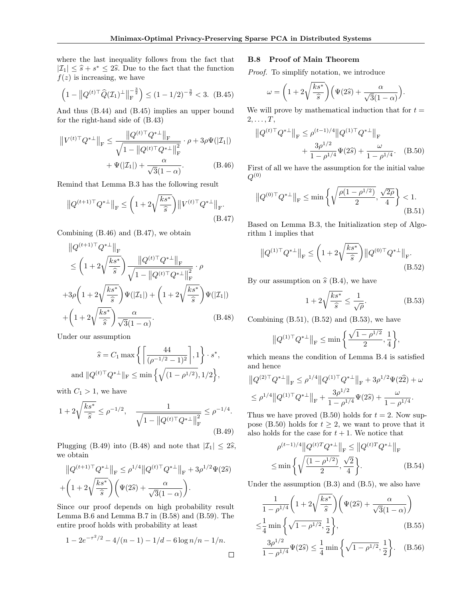where the last inequality follows from the fact that  $|\mathcal{I}_1| \leq \hat{s} + s^* \leq 2\hat{s}$ . Due to the fact that the function  $f(z)$  is increasing, we have

$$
\left(1 - \|Q^{(t)\top}\widehat{Q}(\mathcal{I}_1)^\perp\|_{\mathrm{F}}^{-\frac{3}{2}}\right) \le (1 - 1/2)^{-\frac{3}{2}} < 3. \tag{B.45}
$$

And thus (B.44) and (B.45) implies an upper bound for the right-hand side of (B.43)

$$
||V^{(t)\top}Q^{* \perp}||_{\mathcal{F}} \le \frac{||Q^{(t)\top}Q^{* \perp}||_{\mathcal{F}}}{\sqrt{1 - ||Q^{(t)\top}Q^{* \perp}||_{\mathcal{F}}^{2}}} \cdot \rho + 3\rho \Psi(|\mathcal{I}_{1}|)
$$
  
+  $\Psi(|\mathcal{I}_{1}|) + \frac{\alpha}{\sqrt{3}(1 - \alpha)}$ . (B.46)

Remind that Lemma B.3 has the following result

$$
||Q^{(t+1)\top}Q^{*\perp}||_{\mathcal{F}} \leq \left(1 + 2\sqrt{\frac{ks^*}{\hat{s}}}\right) ||V^{(t)\top}Q^{*\perp}||_{\mathcal{F}}.
$$
\n(B.47)

Combining (B.46) and (B.47), we obtain

$$
\|Q^{(t+1)\top}Q^{*\perp}\|_{\mathcal{F}}\leq \left(1+2\sqrt{\frac{ks^*}{\hat{s}}}\right)\frac{\|Q^{(t)\top}Q^{*\perp}\|_{\mathcal{F}}}{\sqrt{1-\|Q^{(t)\top}Q^{*\perp}\|_{\mathcal{F}}^2}}\cdot\rho
$$
  
+3\rho\left(1+2\sqrt{\frac{ks^\*}{\hat{s}}}\right)\Psi(|\mathcal{I}\_1|)+\left(1+2\sqrt{\frac{ks^\*}{\hat{s}}}\right)\Psi(|\mathcal{I}\_1|)  
+\left(1+2\sqrt{\frac{ks^\*}{\hat{s}}}\right)\frac{\alpha}{\sqrt{3}(1-\alpha)}.\n(B.48)

Under our assumption

$$
\hat{s} = C_1 \max \left\{ \left[ \frac{44}{(\rho^{-1/2} - 1)^2} \right], 1 \right\} \cdot s^*,
$$
  
and  $||Q^{(t)\top} Q^{*\perp}||_{\rm F} \le \min \left\{ \sqrt{(1 - \rho^{1/2})}, 1/2 \right\},\$ 

with  $C_1 > 1$ , we have

$$
1 + 2\sqrt{\frac{ks^*}{\hat{s}}} \le \rho^{-1/2}, \quad \frac{1}{\sqrt{1 - \|Q^{(t) \top} Q^{* \bot}\|_{\mathrm{F}}^2}} \le \rho^{-1/4}.
$$
\n(B.49)

Plugging (B.49) into (B.48) and note that  $|\mathcal{I}_1| \leq 2\hat{s}$ , we obtain

$$
||Q^{(t+1)\top}Q^{*\perp}||_{\mathcal{F}} \leq \rho^{1/4}||Q^{(t)\top}Q^{*\perp}||_{\mathcal{F}} + 3\rho^{1/2}\Psi(2\hat{s})
$$
  
+ 
$$
\left(1 + 2\sqrt{\frac{ks^*}{\hat{s}}}\right)\left(\Psi(2\hat{s}) + \frac{\alpha}{\sqrt{3}(1-\alpha)}\right).
$$

Since our proof depends on high probability result Lemma B.6 and Lemma B.7 in (B.58) and (B.59). The entire proof holds with probability at least

$$
1 - 2e^{-\tau^2/2} - 4/(n-1) - 1/d - 6\log n/n - 1/n.
$$

#### B.8 Proof of Main Theorem

*Proof.* To simplify notation, we introduce

$$
\omega = \left(1 + 2\sqrt{\frac{ks^*}{\hat{s}}}\right) \left(\Psi(2\hat{s}) + \frac{\alpha}{\sqrt{3}(1-\alpha)}\right).
$$

We will prove by mathematical induction that for  $t =$ 2*,...,T*,

$$
||Q^{(t)\top}Q^{*\perp}||_{\mathcal{F}} \leq \rho^{(t-1)/4}||Q^{(1)\top}Q^{*\perp}||_{\mathcal{F}} + \frac{3\rho^{1/2}}{1-\rho^{1/4}}\Psi(2\hat{s}) + \frac{\omega}{1-\rho^{1/4}}.
$$
 (B.50)

First of all we have the assumption for the initial value  $Q^{(0)}$ 

$$
||Q^{(0)\top}Q^{*\perp}||_{\mathrm{F}} \leq \min\left\{\sqrt{\frac{\rho(1-\rho^{1/2})}{2}}, \frac{\sqrt{2\rho}}{4}\right\} < 1.
$$
\n(B.51)

Based on Lemma B.3, the Initialization step of Algorithm 1 implies that

$$
||Q^{(1)\top}Q^{* \perp}||_{\mathcal{F}} \leq \left(1 + 2\sqrt{\frac{ks^*}{\hat{s}}}\right) ||Q^{(0)\top}Q^{* \perp}||_{\mathcal{F}}.
$$
\n(B.52)

By our assumption on  $\hat{s}$  (B.4), we have

$$
1 + 2\sqrt{\frac{ks^*}{\hat{s}}} \le \frac{1}{\sqrt{\rho}}.\tag{B.53}
$$

Combining  $(B.51)$ ,  $(B.52)$  and  $(B.53)$ , we have

$$
\left\|Q^{(1)\top} Q^{*\perp}\right\|_{\rm F} \leq \min\bigg\{\frac{\sqrt{1-\rho^{1/2}}}{2}, \frac{1}{4}\bigg\},
$$

which means the condition of Lemma B.4 is satisfied and hence

$$
||Q^{(2)\top}Q^{*\perp}||_{\mathrm{F}} \leq \rho^{1/4}||Q^{(1)\top}Q^{*\perp}||_{\mathrm{F}} + 3\rho^{1/2}\Psi(2\widehat{2}) + \omega
$$
  

$$
\leq \rho^{1/4}||Q^{(1)\top}Q^{*\perp}||_{\mathrm{F}} + \frac{3\rho^{1/2}}{1-\rho^{1/4}}\Psi(2\widehat{s}) + \frac{\omega}{1-\rho^{1/4}}.
$$

Thus we have proved  $(B.50)$  holds for  $t = 2$ . Now suppose (B.50) holds for  $t \geq 2$ , we want to prove that it also holds for the case for  $t + 1$ . We notice that

$$
\rho^{(t-1)/4} \| Q^{(t)T} Q^{*\perp} \|_{\rm F} \le \| Q^{(t)T} Q^{*\perp} \|_{\rm F}
$$
  

$$
\le \min \left\{ \sqrt{\frac{(1 - \rho^{1/2})}{2}}, \frac{\sqrt{2}}{4} \right\}.
$$
 (B.54)

Under the assumption (B.3) and (B.5), we also have

$$
\frac{1}{1 - \rho^{1/4}} \left( 1 + 2\sqrt{\frac{ks^*}{\hat{s}}} \right) \left( \Psi(2\hat{s}) + \frac{\alpha}{\sqrt{3}(1 - \alpha)} \right)
$$
  

$$
\leq \frac{1}{4} \min \left\{ \sqrt{1 - \rho^{1/2}}, \frac{1}{2} \right\},
$$
(B.55)

$$
\frac{3\rho^{1/2}}{1-\rho^{1/4}}\Psi(2\hat{s}) \le \frac{1}{4}\min\left\{\sqrt{1-\rho^{1/2}},\frac{1}{2}\right\}.
$$
 (B.56)